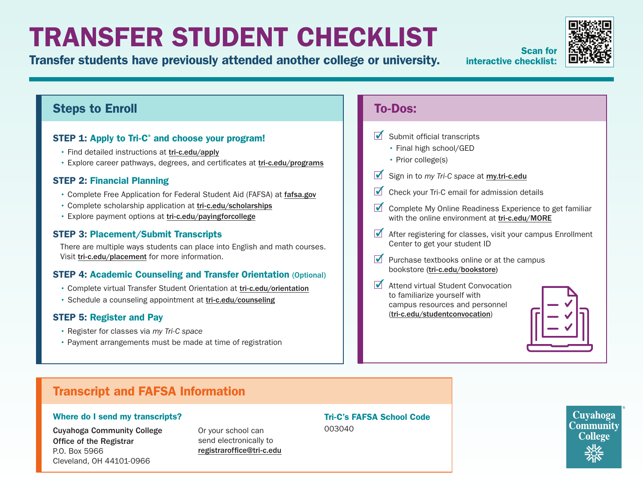# TRANSFER STUDENT CHECKLIST

Transfer students have previously attended another college or university.

Scan for interactive checklist:

## Steps to Enroll

## STEP 1: Apply to Tri-C<sup>®</sup> and choose your program!

- Find detailed instructions at [tri-c.edu/apply](https://www.tri-c.edu/apply/)
- Explore career pathways, degrees, and certificates at [tri-c.edu/programs](https://www.tri-c.edu/programs/)

## STEP 2: Financial Planning

- Complete Free Application for Federal Student Aid (FAFSA) at [fafsa.gov](https://studentaid.gov/h/apply-for-aid/fafsa)
- Complete scholarship application at [tri-c.edu/scholarships](https://www.tri-c.edu/paying-for-college/financial-aid-and-scholarships/scholarships/index.html)
- Explore payment options at [tri-c.edu/payingforcollege](http://tri-c.edu/payingforcollege)

#### STEP 3: Placement/Submit Transcripts

There are multiple ways students can place into English and math courses. Visit [tri-c.edu/placement](https://www.tri-c.edu/testing-center/index.html) for more information.

## STEP 4: Academic Counseling and Transfer Orientation (Optional)

- Complete virtual Transfer Student Orientation at [tri-c.edu/orientation](https://www.tri-c.edu/counseling-center/new-student-orientation.html)
- Schedule a counseling appointment at [tri-c.edu/counseling](http://tri-c.edu/counseling)

## STEP 5: Register and Pay

- Register for classes via *my Tri-C space*
- Payment arrangements must be made at time of registration

## To-Dos:

- $\triangleright$  Submit official transcripts
	- Final high school/GED
	- Prior college(s)
- Sign in to *my Tri-C space* at **[my.tri-c.edu](http://my.tri-c.edu)**
- $\triangleright$  Check your Tri-C email for admission details
- Complete My Online Readiness Experience to get familiar with the online environment at [tri-c.edu/MORE](https://www.tri-c.edu/online-learning/more.html)
- After registering for classes, visit your campus Enrollment Center to get your student ID
- $\blacksquare$  Purchase textbooks online or at the campus bookstore [\(tri-c.edu/bookstore](http://tri-c.edu/bookstore))
- Attend virtual Student Convocation to familiarize yourself with campus resources and personnel ([tri-c.edu/studentconvocation](https://launch.comevo.com/cuyahoga/3322/-/pub/Intake))



## Transcript and FAFSA Information

#### Where do I send my transcripts?

Cuyahoga Community College Office of the Registrar P.O. Box 5966 Cleveland, OH 44101-0966

Or your school can send electronically to [registraroffice@tri-c.edu](mailto:registraroffice%40tri-c.edu?subject=) Tri-C's FAFSA School Code 003040